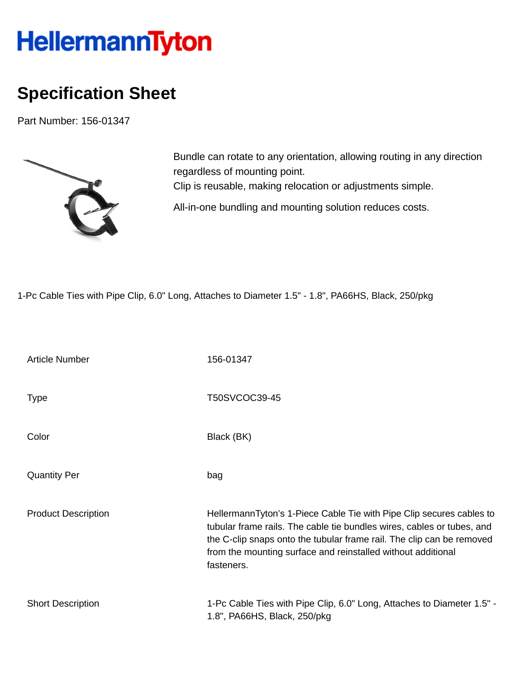## HellermannTyton

## **Specification Sheet**

Part Number: 156-01347



Bundle can rotate to any orientation, allowing routing in any direction regardless of mounting point. Clip is reusable, making relocation or adjustments simple. All-in-one bundling and mounting solution reduces costs.

1-Pc Cable Ties with Pipe Clip, 6.0" Long, Attaches to Diameter 1.5" - 1.8", PA66HS, Black, 250/pkg

| <b>Article Number</b>      | 156-01347                                                                                                                                                                                                                                                                                             |  |  |
|----------------------------|-------------------------------------------------------------------------------------------------------------------------------------------------------------------------------------------------------------------------------------------------------------------------------------------------------|--|--|
| <b>Type</b>                | T50SVCOC39-45                                                                                                                                                                                                                                                                                         |  |  |
| Color                      | Black (BK)                                                                                                                                                                                                                                                                                            |  |  |
| <b>Quantity Per</b>        | bag                                                                                                                                                                                                                                                                                                   |  |  |
| <b>Product Description</b> | HellermannTyton's 1-Piece Cable Tie with Pipe Clip secures cables to<br>tubular frame rails. The cable tie bundles wires, cables or tubes, and<br>the C-clip snaps onto the tubular frame rail. The clip can be removed<br>from the mounting surface and reinstalled without additional<br>fasteners. |  |  |
| <b>Short Description</b>   | 1-Pc Cable Ties with Pipe Clip, 6.0" Long, Attaches to Diameter 1.5" -<br>1.8", PA66HS, Black, 250/pkg                                                                                                                                                                                                |  |  |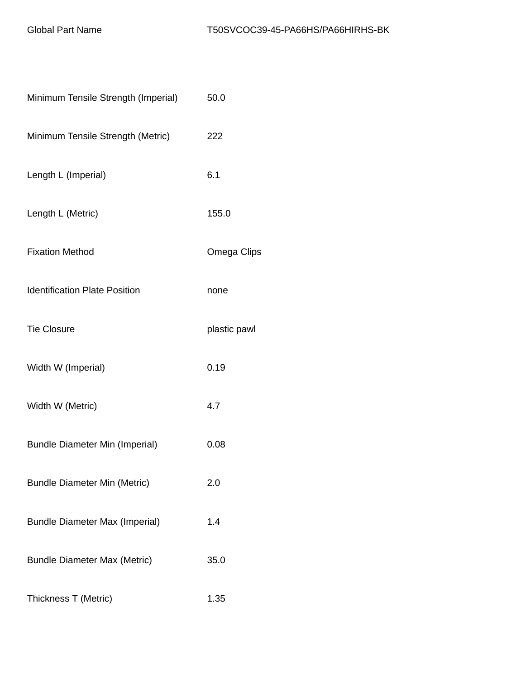| Minimum Tensile Strength (Imperial)   | 50.0         |
|---------------------------------------|--------------|
| Minimum Tensile Strength (Metric)     | 222          |
| Length L (Imperial)                   | 6.1          |
| Length L (Metric)                     | 155.0        |
| <b>Fixation Method</b>                | Omega Clips  |
| <b>Identification Plate Position</b>  | none         |
| <b>Tie Closure</b>                    | plastic pawl |
| Width W (Imperial)                    | 0.19         |
| Width W (Metric)                      | 4.7          |
| <b>Bundle Diameter Min (Imperial)</b> | 0.08         |
| <b>Bundle Diameter Min (Metric)</b>   | 2.0          |
| <b>Bundle Diameter Max (Imperial)</b> | 1.4          |
| <b>Bundle Diameter Max (Metric)</b>   | 35.0         |
| Thickness T (Metric)                  | 1.35         |